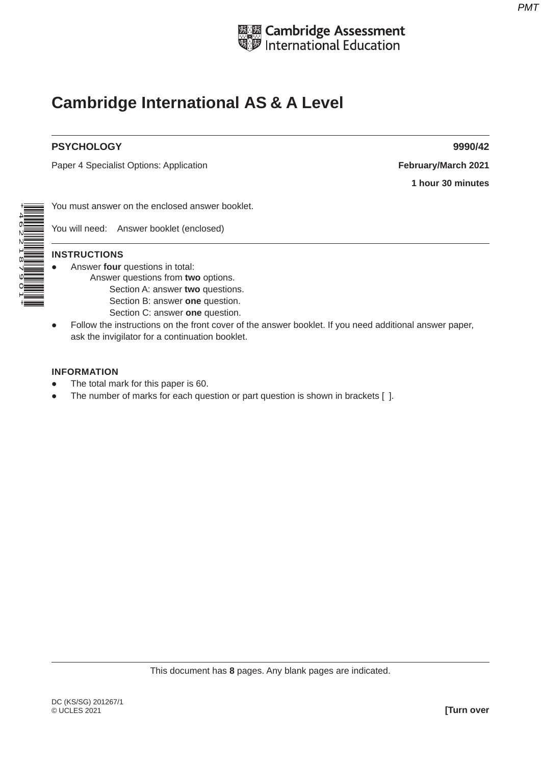

# **Cambridge International AS & A Level**

### **PSYCHOLOGY 9990/42**

Paper 4 Specialist Options: Application **February/March 2021** 

**1 hour 30 minutes**



You must answer on the enclosed answer booklet.

You will need: Answer booklet (enclosed)

#### **INSTRUCTIONS**

- Answer **four** questions in total:
	- Answer questions from **two** options. Section A: answer **two** questions. Section B: answer **one** question. Section C: answer **one** question.
- Follow the instructions on the front cover of the answer booklet. If you need additional answer paper, ask the invigilator for a continuation booklet.

#### **INFORMATION**

- The total mark for this paper is 60.
- The number of marks for each question or part question is shown in brackets [ ].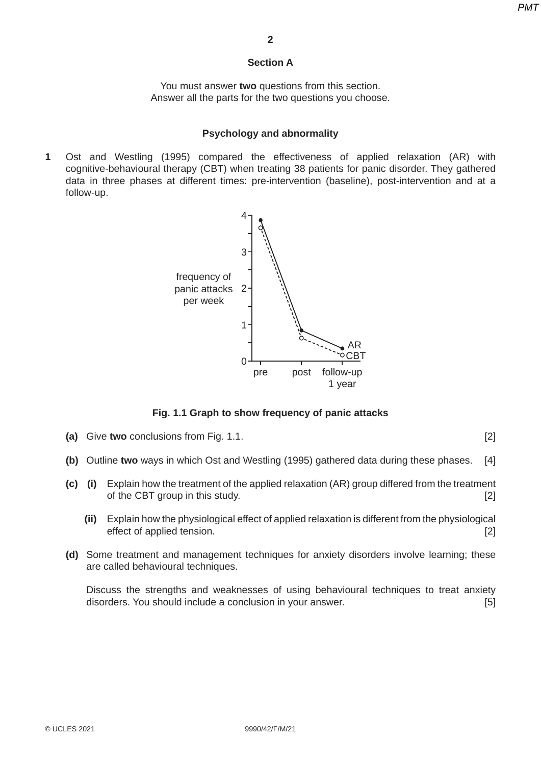# **Section A**

You must answer **two** questions from this section. Answer all the parts for the two questions you choose.

# **Psychology and abnormality**

**1** Ost and Westling (1995) compared the effectiveness of applied relaxation (AR) with cognitive-behavioural therapy (CBT) when treating 38 patients for panic disorder. They gathered data in three phases at different times: pre-intervention (baseline), post-intervention and at a follow-up.



# **Fig. 1.1 Graph to show frequency of panic attacks**

 **(a)** Give **two** conclusions from Fig. 1.1. [2]

- **(b)** Outline **two** ways in which Ost and Westling (1995) gathered data during these phases. [4]
- **(c) (i)** Explain how the treatment of the applied relaxation (AR) group differed from the treatment of the CBT group in this study. [2]
	- **(ii)** Explain how the physiological effect of applied relaxation is different from the physiological effect of applied tension. [2]
- **(d)** Some treatment and management techniques for anxiety disorders involve learning; these are called behavioural techniques.

Discuss the strengths and weaknesses of using behavioural techniques to treat anxiety disorders. You should include a conclusion in your answer. [5]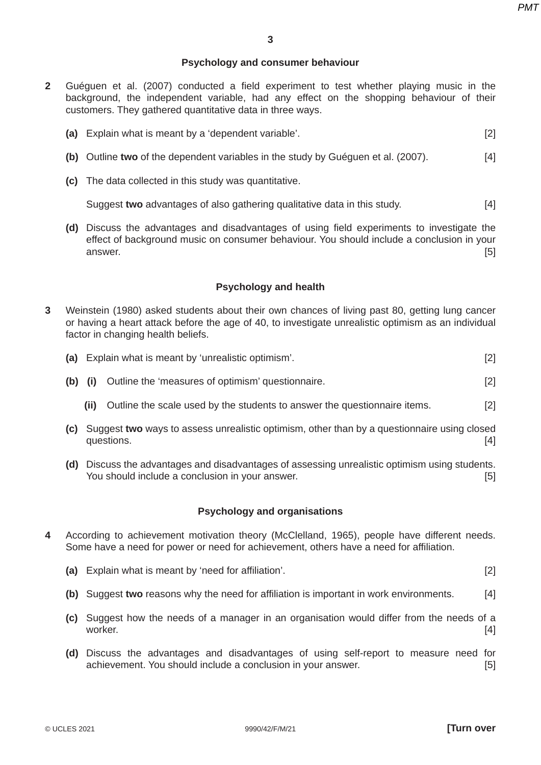### **Psychology and consumer behaviour**

- **2** Guéguen et al. (2007) conducted a field experiment to test whether playing music in the background, the independent variable, had any effect on the shopping behaviour of their customers. They gathered quantitative data in three ways.
	- **(a)** Explain what is meant by a 'dependent variable'. [2]
	- **(b)** Outline **two** of the dependent variables in the study by Guéguen et al. (2007). [4]
	- **(c)** The data collected in this study was quantitative.

Suggest **two** advantages of also gathering qualitative data in this study. [4]

 **(d)** Discuss the advantages and disadvantages of using field experiments to investigate the effect of background music on consumer behaviour. You should include a conclusion in your answer. [5]

### **Psychology and health**

**3** Weinstein (1980) asked students about their own chances of living past 80, getting lung cancer or having a heart attack before the age of 40, to investigate unrealistic optimism as an individual factor in changing health beliefs.

|  | (a) Explain what is meant by 'unrealistic optimism'. |  |
|--|------------------------------------------------------|--|
|--|------------------------------------------------------|--|

- **(b) (i)** Outline the 'measures of optimism' questionnaire. [2]
	- **(ii)** Outline the scale used by the students to answer the questionnaire items. [2]
- **(c)** Suggest **two** ways to assess unrealistic optimism, other than by a questionnaire using closed  $\alpha$  questions. Equations of the contract of the contract of the contract of the contract of the contract of the contract of the contract of the contract of the contract of the contract of the contract of the contract of
- **(d)** Discuss the advantages and disadvantages of assessing unrealistic optimism using students. You should include a conclusion in your answer. [5]

### **Psychology and organisations**

- **4** According to achievement motivation theory (McClelland, 1965), people have different needs. Some have a need for power or need for achievement, others have a need for affiliation.
	- **(a)** Explain what is meant by 'need for affiliation'. [2]
	- **(b)** Suggest **two** reasons why the need for affiliation is important in work environments. [4]
	- **(c)** Suggest how the needs of a manager in an organisation would differ from the needs of a worker. [4]
	- **(d)** Discuss the advantages and disadvantages of using self-report to measure need for achievement. You should include a conclusion in your answer. [5]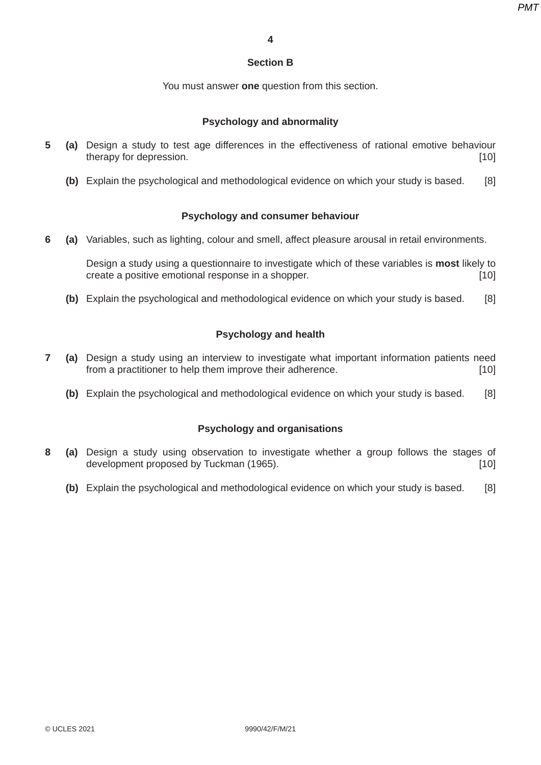#### **Section B**

You must answer **one** question from this section.

#### **Psychology and abnormality**

- **5 (a)** Design a study to test age differences in the effectiveness of rational emotive behaviour therapy for depression. [10] **interaction** is the contract of the contract of the contract of the contract of the contract of the contract of the contract of the contract of the contract of the contract of the contract of
	- **(b)** Explain the psychological and methodological evidence on which your study is based. [8]

#### **Psychology and consumer behaviour**

**6 (a)** Variables, such as lighting, colour and smell, affect pleasure arousal in retail environments.

Design a study using a questionnaire to investigate which of these variables is **most** likely to create a positive emotional response in a shopper. [10]

 **(b)** Explain the psychological and methodological evidence on which your study is based. [8]

#### **Psychology and health**

- **7 (a)** Design a study using an interview to investigate what important information patients need from a practitioner to help them improve their adherence. [10]
	- **(b)** Explain the psychological and methodological evidence on which your study is based. [8]

### **Psychology and organisations**

- **8 (a)** Design a study using observation to investigate whether a group follows the stages of development proposed by Tuckman (1965). **Example 20** (10)
	- **(b)** Explain the psychological and methodological evidence on which your study is based. [8]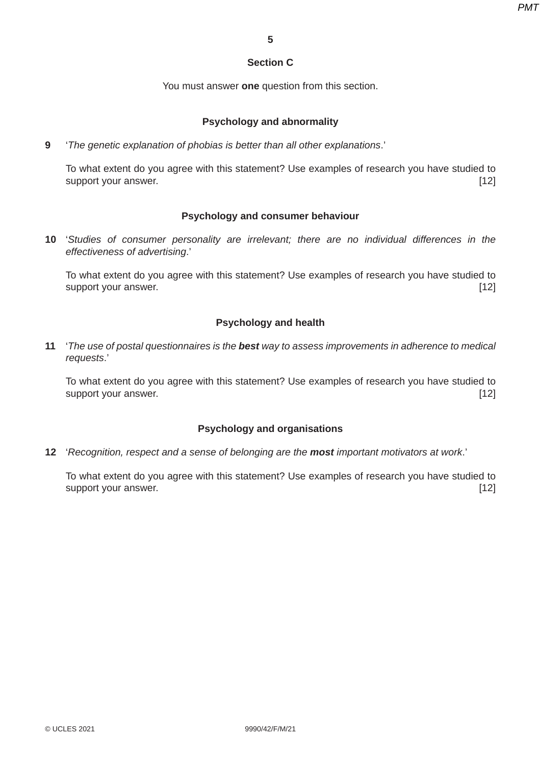# **Section C**

You must answer **one** question from this section.

# **Psychology and abnormality**

**9** '*The genetic explanation of phobias is better than all other explanations*.'

To what extent do you agree with this statement? Use examples of research you have studied to support your answer. [12] support your answer.

# **Psychology and consumer behaviour**

**10** '*Studies of consumer personality are irrelevant; there are no individual differences in the effectiveness of advertising*.'

To what extent do you agree with this statement? Use examples of research you have studied to support your answer. [12]

# **Psychology and health**

**11** '*The use of postal questionnaires is the best way to assess improvements in adherence to medical requests*.'

To what extent do you agree with this statement? Use examples of research you have studied to support your answer. **Example 20** Support your answer.

# **Psychology and organisations**

**12** '*Recognition, respect and a sense of belonging are the most important motivators at work*.'

To what extent do you agree with this statement? Use examples of research you have studied to support your answer. [12]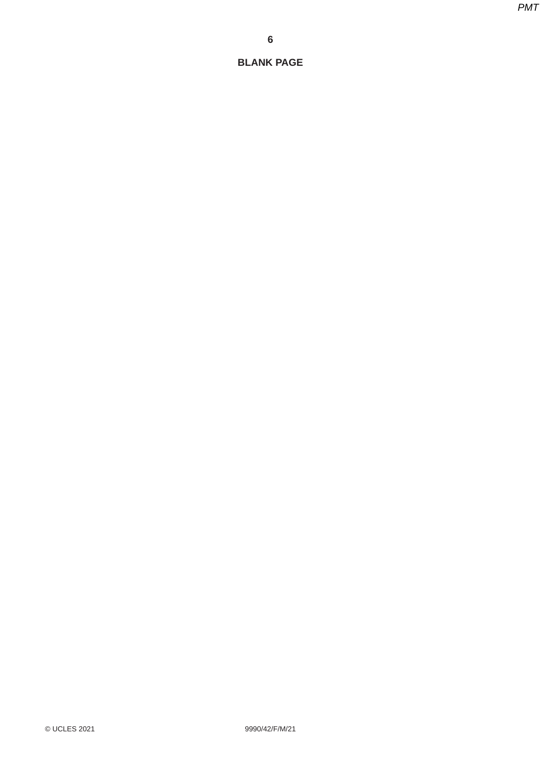# $6\phantom{a}$

### **BLANK PAGE**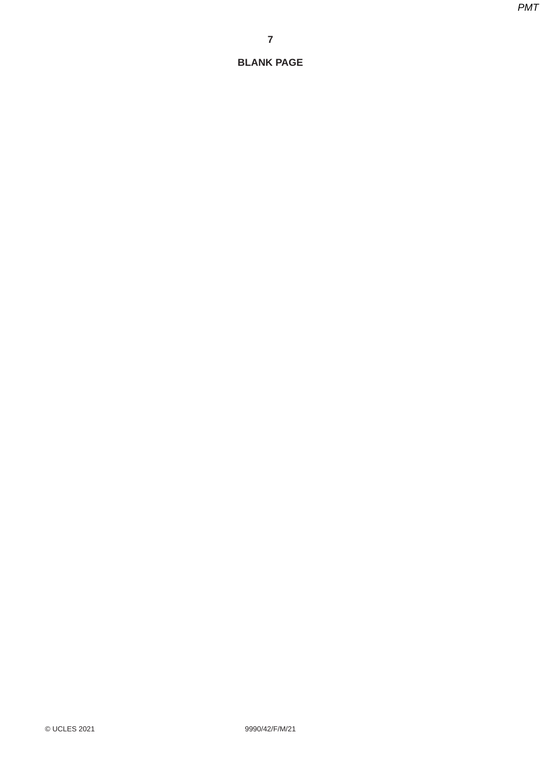# **BLANK PAGE**